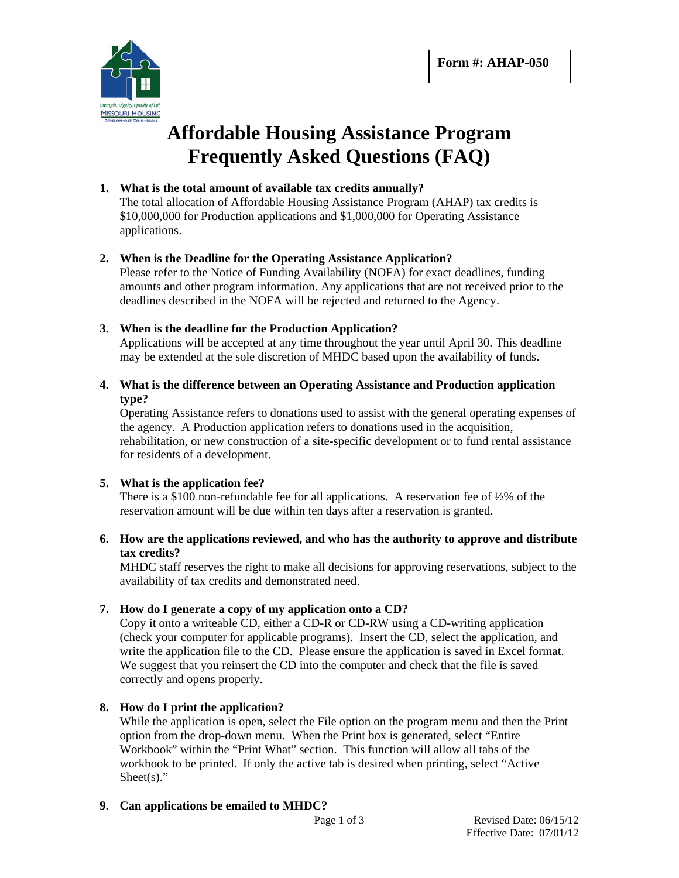

# **Affordable Housing Assistance Program Frequently Asked Questions (FAQ)**

# **1. What is the total amount of available tax credits annually?**

The total allocation of Affordable Housing Assistance Program (AHAP) tax credits is \$10,000,000 for Production applications and \$1,000,000 for Operating Assistance applications.

# **2. When is the Deadline for the Operating Assistance Application?**

Please refer to the Notice of Funding Availability (NOFA) for exact deadlines, funding amounts and other program information. Any applications that are not received prior to the deadlines described in the NOFA will be rejected and returned to the Agency.

# **3. When is the deadline for the Production Application?**

Applications will be accepted at any time throughout the year until April 30. This deadline may be extended at the sole discretion of MHDC based upon the availability of funds.

# **4. What is the difference between an Operating Assistance and Production application type?**

Operating Assistance refers to donations used to assist with the general operating expenses of the agency. A Production application refers to donations used in the acquisition, rehabilitation, or new construction of a site-specific development or to fund rental assistance for residents of a development.

# **5. What is the application fee?**

There is a \$100 non-refundable fee for all applications. A reservation fee of  $\frac{1}{2}\%$  of the reservation amount will be due within ten days after a reservation is granted.

#### **6. How are the applications reviewed, and who has the authority to approve and distribute tax credits?**

MHDC staff reserves the right to make all decisions for approving reservations, subject to the availability of tax credits and demonstrated need.

# **7. How do I generate a copy of my application onto a CD?**

Copy it onto a writeable CD, either a CD-R or CD-RW using a CD-writing application (check your computer for applicable programs). Insert the CD, select the application, and write the application file to the CD. Please ensure the application is saved in Excel format. We suggest that you reinsert the CD into the computer and check that the file is saved correctly and opens properly.

# **8. How do I print the application?**

While the application is open, select the File option on the program menu and then the Print option from the drop-down menu. When the Print box is generated, select "Entire Workbook" within the "Print What" section. This function will allow all tabs of the workbook to be printed. If only the active tab is desired when printing, select "Active Sheet $(s)$ ."

# **9. Can applications be emailed to MHDC?**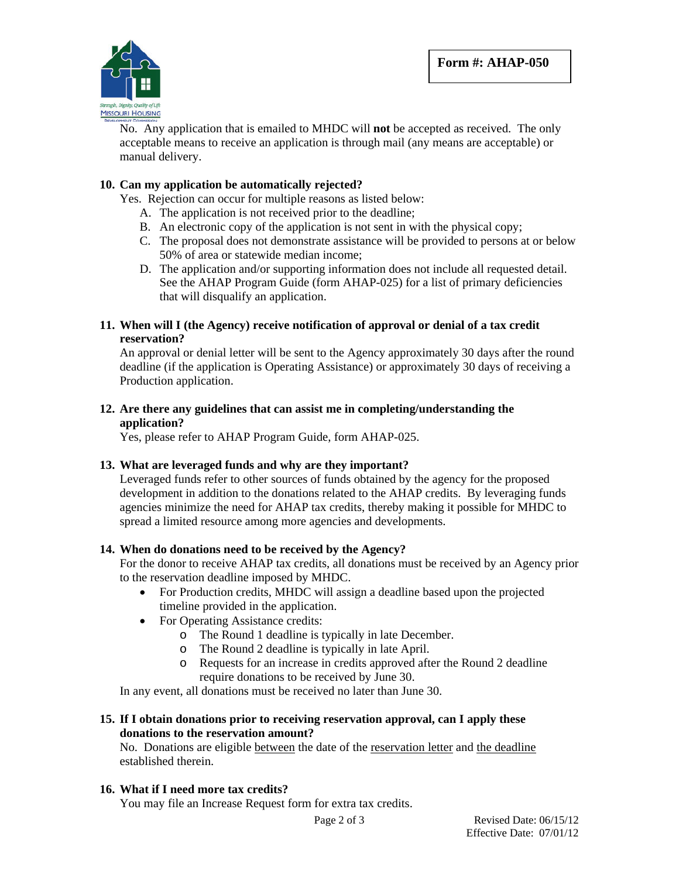

No. Any application that is emailed to MHDC will **not** be accepted as received. The only acceptable means to receive an application is through mail (any means are acceptable) or manual delivery.

# **10. Can my application be automatically rejected?**

Yes. Rejection can occur for multiple reasons as listed below:

- A. The application is not received prior to the deadline;
- B. An electronic copy of the application is not sent in with the physical copy;
- C. The proposal does not demonstrate assistance will be provided to persons at or below 50% of area or statewide median income;
- D. The application and/or supporting information does not include all requested detail. See the AHAP Program Guide (form AHAP-025) for a list of primary deficiencies that will disqualify an application.

#### **11. When will I (the Agency) receive notification of approval or denial of a tax credit reservation?**

An approval or denial letter will be sent to the Agency approximately 30 days after the round deadline (if the application is Operating Assistance) or approximately 30 days of receiving a Production application.

#### **12. Are there any guidelines that can assist me in completing/understanding the application?**

Yes, please refer to AHAP Program Guide, form AHAP-025.

# **13. What are leveraged funds and why are they important?**

Leveraged funds refer to other sources of funds obtained by the agency for the proposed development in addition to the donations related to the AHAP credits. By leveraging funds agencies minimize the need for AHAP tax credits, thereby making it possible for MHDC to spread a limited resource among more agencies and developments.

# **14. When do donations need to be received by the Agency?**

For the donor to receive AHAP tax credits, all donations must be received by an Agency prior to the reservation deadline imposed by MHDC.

- For Production credits, MHDC will assign a deadline based upon the projected timeline provided in the application.
- For Operating Assistance credits:
	- o The Round 1 deadline is typically in late December.
	- o The Round 2 deadline is typically in late April.
	- o Requests for an increase in credits approved after the Round 2 deadline require donations to be received by June 30.

In any event, all donations must be received no later than June 30.

# **15. If I obtain donations prior to receiving reservation approval, can I apply these donations to the reservation amount?**

No. Donations are eligible between the date of the reservation letter and the deadline established therein.

# **16. What if I need more tax credits?**

You may file an Increase Request form for extra tax credits.